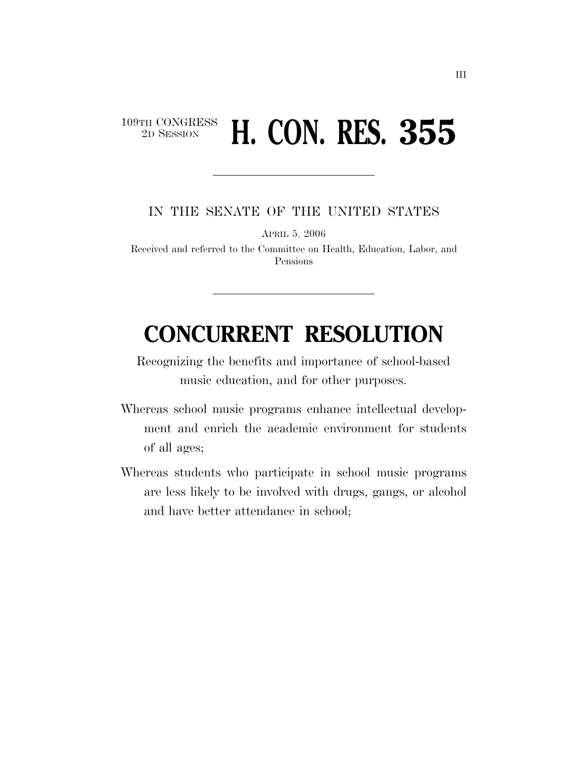## 109TH CONGRESS<br>2D SESSION 2D SESSION **H. CON. RES. 355**

IN THE SENATE OF THE UNITED STATES

APRIL 5. 2006

Received and referred to the Committee on Health, Education, Labor, and Pensions

## **CONCURRENT RESOLUTION**

Recognizing the benefits and importance of school-based music education, and for other purposes.

- Whereas school music programs enhance intellectual development and enrich the academic environment for students of all ages;
- Whereas students who participate in school music programs are less likely to be involved with drugs, gangs, or alcohol and have better attendance in school;